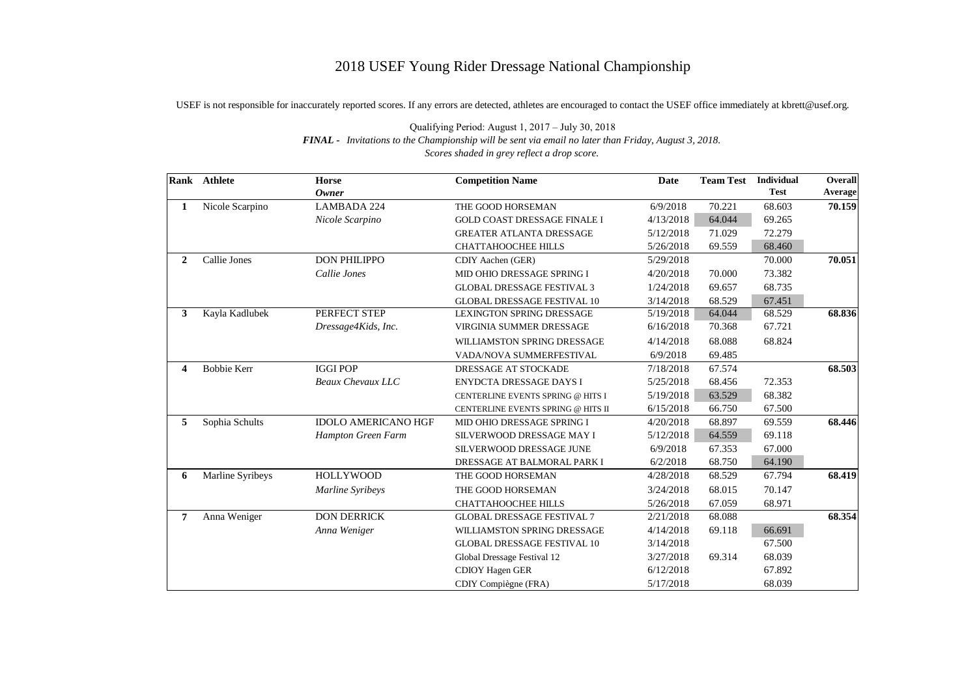## 2018 USEF Young Rider Dressage National Championship

USEF is not responsible for inaccurately reported scores. If any errors are detected, athletes are encouraged to contact the USEF office immediately at kbrett@usef.org.

|                         | <b>Rank</b> Athlete | <b>Horse</b>               | <b>Competition Name</b>             | <b>Date</b> | <b>Team Test</b> | <b>Individual</b> | <b>Overall</b> |
|-------------------------|---------------------|----------------------------|-------------------------------------|-------------|------------------|-------------------|----------------|
|                         |                     | <b>Owner</b>               |                                     |             |                  | <b>Test</b>       | Average        |
| 1                       | Nicole Scarpino     | <b>LAMBADA 224</b>         | THE GOOD HORSEMAN                   | 6/9/2018    | 70.221           | 68.603            | 70.159         |
|                         |                     | Nicole Scarpino            | <b>GOLD COAST DRESSAGE FINALE I</b> | 4/13/2018   | 64.044           | 69.265            |                |
|                         |                     |                            | <b>GREATER ATLANTA DRESSAGE</b>     | 5/12/2018   | 71.029           | 72.279            |                |
|                         |                     |                            | <b>CHATTAHOOCHEE HILLS</b>          | 5/26/2018   | 69.559           | 68.460            |                |
| 2                       | Callie Jones        | <b>DON PHILIPPO</b>        | CDIY Aachen (GER)                   | 5/29/2018   |                  | 70.000            | 70.051         |
|                         |                     | Callie Jones               | MID OHIO DRESSAGE SPRING I          | 4/20/2018   | 70.000           | 73.382            |                |
|                         |                     |                            | <b>GLOBAL DRESSAGE FESTIVAL 3</b>   | 1/24/2018   | 69.657           | 68.735            |                |
|                         |                     |                            | <b>GLOBAL DRESSAGE FESTIVAL 10</b>  | 3/14/2018   | 68.529           | 67.451            |                |
| $\mathbf{3}$            | Kayla Kadlubek      | PERFECT STEP               | <b>LEXINGTON SPRING DRESSAGE</b>    | 5/19/2018   | 64.044           | 68.529            | 68.836         |
|                         |                     | Dressage4Kids, Inc.        | VIRGINIA SUMMER DRESSAGE            | 6/16/2018   | 70.368           | 67.721            |                |
|                         |                     |                            | WILLIAMSTON SPRING DRESSAGE         | 4/14/2018   | 68.088           | 68.824            |                |
|                         |                     |                            | VADA/NOVA SUMMERFESTIVAL            | 6/9/2018    | 69.485           |                   |                |
| $\overline{\mathbf{4}}$ | <b>Bobbie Kerr</b>  | <b>IGGI POP</b>            | DRESSAGE AT STOCKADE                | 7/18/2018   | 67.574           |                   | 68.503         |
|                         |                     | <b>Beaux Chevaux LLC</b>   | ENYDCTA DRESSAGE DAYS I             | 5/25/2018   | 68.456           | 72.353            |                |
|                         |                     |                            | CENTERLINE EVENTS SPRING @ HITS I   | 5/19/2018   | 63.529           | 68.382            |                |
|                         |                     |                            | CENTERLINE EVENTS SPRING @ HITS II  | 6/15/2018   | 66.750           | 67.500            |                |
| 5                       | Sophia Schults      | <b>IDOLO AMERICANO HGF</b> | MID OHIO DRESSAGE SPRING I          | 4/20/2018   | 68.897           | 69.559            | 68.446         |
|                         |                     | Hampton Green Farm         | SILVERWOOD DRESSAGE MAY I           | 5/12/2018   | 64.559           | 69.118            |                |
|                         |                     |                            | SILVERWOOD DRESSAGE JUNE            | 6/9/2018    | 67.353           | 67.000            |                |
|                         |                     |                            | DRESSAGE AT BALMORAL PARK I         | 6/2/2018    | 68.750           | 64.190            |                |
| 6                       | Marline Syribeys    | <b>HOLLYWOOD</b>           | THE GOOD HORSEMAN                   | 4/28/2018   | 68.529           | 67.794            | 68.419         |
|                         |                     | Marline Syribeys           | THE GOOD HORSEMAN                   | 3/24/2018   | 68.015           | 70.147            |                |
|                         |                     |                            | CHATTAHOOCHEE HILLS                 | 5/26/2018   | 67.059           | 68.971            |                |
| $\overline{7}$          | Anna Weniger        | <b>DON DERRICK</b>         | <b>GLOBAL DRESSAGE FESTIVAL 7</b>   | 2/21/2018   | 68.088           |                   | 68.354         |
|                         |                     | Anna Weniger               | WILLIAMSTON SPRING DRESSAGE         | 4/14/2018   | 69.118           | 66.691            |                |
|                         |                     |                            | <b>GLOBAL DRESSAGE FESTIVAL 10</b>  | 3/14/2018   |                  | 67.500            |                |
|                         |                     |                            | Global Dressage Festival 12         | 3/27/2018   | 69.314           | 68.039            |                |
|                         |                     |                            | <b>CDIOY Hagen GER</b>              | 6/12/2018   |                  | 67.892            |                |
|                         |                     |                            | CDIY Compiègne (FRA)                | 5/17/2018   |                  | 68.039            |                |

Qualifying Period: August 1, 2017 – July 30, 2018 *FINAL - Invitations to the Championship will be sent via email no later than Friday, August 3, 2018. Scores shaded in grey reflect a drop score.*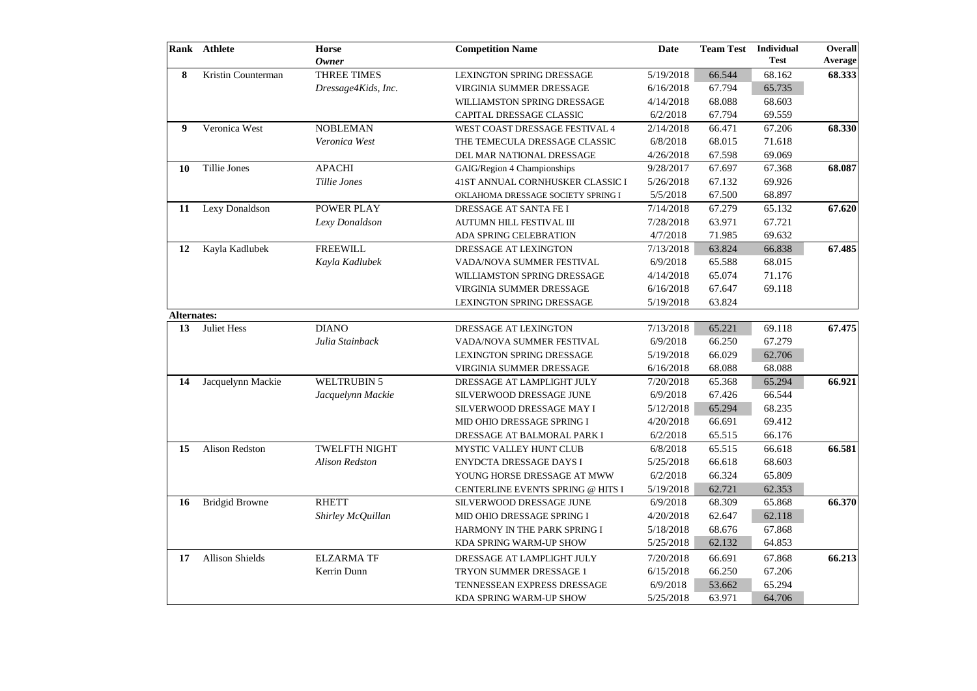| <b>Owner</b><br>Kristin Counterman<br><b>THREE TIMES</b><br>8<br>5/19/2018<br>66.544<br>68.162<br><b>LEXINGTON SPRING DRESSAGE</b><br>67.794<br>65.735<br>Dressage4Kids, Inc.<br>6/16/2018<br>VIRGINIA SUMMER DRESSAGE<br>WILLIAMSTON SPRING DRESSAGE<br>4/14/2018<br>68.088<br>68.603<br>6/2/2018<br>67.794<br>69.559<br>CAPITAL DRESSAGE CLASSIC<br>Veronica West<br><b>NOBLEMAN</b><br>67.206<br>2/14/2018<br>66.471<br>9<br>WEST COAST DRESSAGE FESTIVAL 4<br>68.015<br>71.618<br>Veronica West<br>6/8/2018<br>THE TEMECULA DRESSAGE CLASSIC<br>4/26/2018<br>67.598<br>69.069<br>DEL MAR NATIONAL DRESSAGE<br>68.087<br><b>Tillie Jones</b><br><b>APACHI</b><br>9/28/2017<br>67.697<br>67.368<br>10<br>GAIG/Region 4 Championships<br>67.132<br>69.926<br>Tillie Jones<br>41ST ANNUAL CORNHUSKER CLASSIC I<br>5/26/2018<br>67.500<br>5/5/2018<br>68.897<br>OKLAHOMA DRESSAGE SOCIETY SPRING I<br><b>POWER PLAY</b><br>65.132<br>Lexy Donaldson<br>DRESSAGE AT SANTA FE I<br>7/14/2018<br>67.279<br>11<br>63.971<br>67.721<br>Lexy Donaldson<br>7/28/2018<br>AUTUMN HILL FESTIVAL III<br>4/7/2018<br>71.985<br>69.632<br>ADA SPRING CELEBRATION<br><b>FREEWILL</b><br>63.824<br>67.485<br>Kayla Kadlubek<br>7/13/2018<br>66.838<br>DRESSAGE AT LEXINGTON<br>12<br>Kayla Kadlubek<br>6/9/2018<br>65.588<br>68.015<br>VADA/NOVA SUMMER FESTIVAL<br>65.074<br>71.176<br>WILLIAMSTON SPRING DRESSAGE<br>4/14/2018<br>67.647<br>69.118<br>6/16/2018<br>VIRGINIA SUMMER DRESSAGE<br>63.824<br><b>LEXINGTON SPRING DRESSAGE</b><br>5/19/2018<br><b>Alternates:</b><br>Juliet Hess<br><b>DIANO</b><br>7/13/2018<br>65.221<br>69.118<br>13<br>DRESSAGE AT LEXINGTON<br>Julia Stainback<br>6/9/2018<br>66.250<br>67.279<br>VADA/NOVA SUMMER FESTIVAL<br>66.029<br>62.706<br><b>LEXINGTON SPRING DRESSAGE</b><br>5/19/2018<br>68.088<br>6/16/2018<br>68.088<br>VIRGINIA SUMMER DRESSAGE<br><b>WELTRUBIN 5</b><br>Jacquelynn Mackie<br>65.368<br>66.921<br>DRESSAGE AT LAMPLIGHT JULY<br>7/20/2018<br>65.294<br>14<br>67.426<br>6/9/2018<br>66.544<br>Jacquelynn Mackie<br>SILVERWOOD DRESSAGE JUNE<br>65.294<br>68.235<br>5/12/2018<br>SILVERWOOD DRESSAGE MAY I<br>66.691<br>69.412<br>4/20/2018<br>MID OHIO DRESSAGE SPRING I<br>6/2/2018<br>65.515<br>66.176<br>DRESSAGE AT BALMORAL PARK I<br>Alison Redston<br><b>TWELFTH NIGHT</b><br>66.618<br>6/8/2018<br>65.515<br>15<br>MYSTIC VALLEY HUNT CLUB<br><b>Alison Redston</b><br>5/25/2018<br>68.603<br><b>ENYDCTA DRESSAGE DAYS I</b><br>66.618<br>65.809<br>6/2/2018<br>66.324<br>YOUNG HORSE DRESSAGE AT MWW<br>62.353<br>62.721<br>5/19/2018<br>CENTERLINE EVENTS SPRING @ HITS I<br><b>RHETT</b><br><b>Bridgid Browne</b><br>6/9/2018<br>68.309<br>65.868<br><b>16</b><br>SILVERWOOD DRESSAGE JUNE<br>4/20/2018<br>62.647<br>62.118<br>Shirley McQuillan<br>MID OHIO DRESSAGE SPRING I<br>5/18/2018<br>68.676<br>67.868<br>HARMONY IN THE PARK SPRING I<br>5/25/2018<br>62.132<br>64.853<br>KDA SPRING WARM-UP SHOW<br><b>Allison Shields</b><br><b>ELZARMA TF</b><br>17<br>7/20/2018<br>66.691<br>67.868<br>DRESSAGE AT LAMPLIGHT JULY<br>Kerrin Dunn<br>6/15/2018<br>66.250<br>67.206<br>TRYON SUMMER DRESSAGE 1<br>6/9/2018<br>65.294<br>53.662<br>TENNESSEAN EXPRESS DRESSAGE |  | <b>Rank</b> Athlete | Horse | <b>Competition Name</b> | <b>Date</b> | <b>Team Test</b> | <b>Individual</b> | <b>Overall</b> |
|-------------------------------------------------------------------------------------------------------------------------------------------------------------------------------------------------------------------------------------------------------------------------------------------------------------------------------------------------------------------------------------------------------------------------------------------------------------------------------------------------------------------------------------------------------------------------------------------------------------------------------------------------------------------------------------------------------------------------------------------------------------------------------------------------------------------------------------------------------------------------------------------------------------------------------------------------------------------------------------------------------------------------------------------------------------------------------------------------------------------------------------------------------------------------------------------------------------------------------------------------------------------------------------------------------------------------------------------------------------------------------------------------------------------------------------------------------------------------------------------------------------------------------------------------------------------------------------------------------------------------------------------------------------------------------------------------------------------------------------------------------------------------------------------------------------------------------------------------------------------------------------------------------------------------------------------------------------------------------------------------------------------------------------------------------------------------------------------------------------------------------------------------------------------------------------------------------------------------------------------------------------------------------------------------------------------------------------------------------------------------------------------------------------------------------------------------------------------------------------------------------------------------------------------------------------------------------------------------------------------------------------------------------------------------------------------------------------------------------------------------------------------------------------------------------------------------------------------------------------------------------------------------------------------------------------------------------------------------------------------------------------------------------------------------------------------------------------------------------------------------------------------------------------------------------------------------------------------------------------|--|---------------------|-------|-------------------------|-------------|------------------|-------------------|----------------|
|                                                                                                                                                                                                                                                                                                                                                                                                                                                                                                                                                                                                                                                                                                                                                                                                                                                                                                                                                                                                                                                                                                                                                                                                                                                                                                                                                                                                                                                                                                                                                                                                                                                                                                                                                                                                                                                                                                                                                                                                                                                                                                                                                                                                                                                                                                                                                                                                                                                                                                                                                                                                                                                                                                                                                                                                                                                                                                                                                                                                                                                                                                                                                                                                                                     |  |                     |       |                         |             |                  | <b>Test</b>       | <b>Average</b> |
| 67.620                                                                                                                                                                                                                                                                                                                                                                                                                                                                                                                                                                                                                                                                                                                                                                                                                                                                                                                                                                                                                                                                                                                                                                                                                                                                                                                                                                                                                                                                                                                                                                                                                                                                                                                                                                                                                                                                                                                                                                                                                                                                                                                                                                                                                                                                                                                                                                                                                                                                                                                                                                                                                                                                                                                                                                                                                                                                                                                                                                                                                                                                                                                                                                                                                              |  |                     |       |                         |             |                  |                   | 68.333         |
|                                                                                                                                                                                                                                                                                                                                                                                                                                                                                                                                                                                                                                                                                                                                                                                                                                                                                                                                                                                                                                                                                                                                                                                                                                                                                                                                                                                                                                                                                                                                                                                                                                                                                                                                                                                                                                                                                                                                                                                                                                                                                                                                                                                                                                                                                                                                                                                                                                                                                                                                                                                                                                                                                                                                                                                                                                                                                                                                                                                                                                                                                                                                                                                                                                     |  |                     |       |                         |             |                  |                   |                |
|                                                                                                                                                                                                                                                                                                                                                                                                                                                                                                                                                                                                                                                                                                                                                                                                                                                                                                                                                                                                                                                                                                                                                                                                                                                                                                                                                                                                                                                                                                                                                                                                                                                                                                                                                                                                                                                                                                                                                                                                                                                                                                                                                                                                                                                                                                                                                                                                                                                                                                                                                                                                                                                                                                                                                                                                                                                                                                                                                                                                                                                                                                                                                                                                                                     |  |                     |       |                         |             |                  |                   |                |
| 68.330<br>67.475<br>66.581<br>66.370<br>66.213                                                                                                                                                                                                                                                                                                                                                                                                                                                                                                                                                                                                                                                                                                                                                                                                                                                                                                                                                                                                                                                                                                                                                                                                                                                                                                                                                                                                                                                                                                                                                                                                                                                                                                                                                                                                                                                                                                                                                                                                                                                                                                                                                                                                                                                                                                                                                                                                                                                                                                                                                                                                                                                                                                                                                                                                                                                                                                                                                                                                                                                                                                                                                                                      |  |                     |       |                         |             |                  |                   |                |
|                                                                                                                                                                                                                                                                                                                                                                                                                                                                                                                                                                                                                                                                                                                                                                                                                                                                                                                                                                                                                                                                                                                                                                                                                                                                                                                                                                                                                                                                                                                                                                                                                                                                                                                                                                                                                                                                                                                                                                                                                                                                                                                                                                                                                                                                                                                                                                                                                                                                                                                                                                                                                                                                                                                                                                                                                                                                                                                                                                                                                                                                                                                                                                                                                                     |  |                     |       |                         |             |                  |                   |                |
|                                                                                                                                                                                                                                                                                                                                                                                                                                                                                                                                                                                                                                                                                                                                                                                                                                                                                                                                                                                                                                                                                                                                                                                                                                                                                                                                                                                                                                                                                                                                                                                                                                                                                                                                                                                                                                                                                                                                                                                                                                                                                                                                                                                                                                                                                                                                                                                                                                                                                                                                                                                                                                                                                                                                                                                                                                                                                                                                                                                                                                                                                                                                                                                                                                     |  |                     |       |                         |             |                  |                   |                |
|                                                                                                                                                                                                                                                                                                                                                                                                                                                                                                                                                                                                                                                                                                                                                                                                                                                                                                                                                                                                                                                                                                                                                                                                                                                                                                                                                                                                                                                                                                                                                                                                                                                                                                                                                                                                                                                                                                                                                                                                                                                                                                                                                                                                                                                                                                                                                                                                                                                                                                                                                                                                                                                                                                                                                                                                                                                                                                                                                                                                                                                                                                                                                                                                                                     |  |                     |       |                         |             |                  |                   |                |
|                                                                                                                                                                                                                                                                                                                                                                                                                                                                                                                                                                                                                                                                                                                                                                                                                                                                                                                                                                                                                                                                                                                                                                                                                                                                                                                                                                                                                                                                                                                                                                                                                                                                                                                                                                                                                                                                                                                                                                                                                                                                                                                                                                                                                                                                                                                                                                                                                                                                                                                                                                                                                                                                                                                                                                                                                                                                                                                                                                                                                                                                                                                                                                                                                                     |  |                     |       |                         |             |                  |                   |                |
|                                                                                                                                                                                                                                                                                                                                                                                                                                                                                                                                                                                                                                                                                                                                                                                                                                                                                                                                                                                                                                                                                                                                                                                                                                                                                                                                                                                                                                                                                                                                                                                                                                                                                                                                                                                                                                                                                                                                                                                                                                                                                                                                                                                                                                                                                                                                                                                                                                                                                                                                                                                                                                                                                                                                                                                                                                                                                                                                                                                                                                                                                                                                                                                                                                     |  |                     |       |                         |             |                  |                   |                |
|                                                                                                                                                                                                                                                                                                                                                                                                                                                                                                                                                                                                                                                                                                                                                                                                                                                                                                                                                                                                                                                                                                                                                                                                                                                                                                                                                                                                                                                                                                                                                                                                                                                                                                                                                                                                                                                                                                                                                                                                                                                                                                                                                                                                                                                                                                                                                                                                                                                                                                                                                                                                                                                                                                                                                                                                                                                                                                                                                                                                                                                                                                                                                                                                                                     |  |                     |       |                         |             |                  |                   |                |
|                                                                                                                                                                                                                                                                                                                                                                                                                                                                                                                                                                                                                                                                                                                                                                                                                                                                                                                                                                                                                                                                                                                                                                                                                                                                                                                                                                                                                                                                                                                                                                                                                                                                                                                                                                                                                                                                                                                                                                                                                                                                                                                                                                                                                                                                                                                                                                                                                                                                                                                                                                                                                                                                                                                                                                                                                                                                                                                                                                                                                                                                                                                                                                                                                                     |  |                     |       |                         |             |                  |                   |                |
|                                                                                                                                                                                                                                                                                                                                                                                                                                                                                                                                                                                                                                                                                                                                                                                                                                                                                                                                                                                                                                                                                                                                                                                                                                                                                                                                                                                                                                                                                                                                                                                                                                                                                                                                                                                                                                                                                                                                                                                                                                                                                                                                                                                                                                                                                                                                                                                                                                                                                                                                                                                                                                                                                                                                                                                                                                                                                                                                                                                                                                                                                                                                                                                                                                     |  |                     |       |                         |             |                  |                   |                |
|                                                                                                                                                                                                                                                                                                                                                                                                                                                                                                                                                                                                                                                                                                                                                                                                                                                                                                                                                                                                                                                                                                                                                                                                                                                                                                                                                                                                                                                                                                                                                                                                                                                                                                                                                                                                                                                                                                                                                                                                                                                                                                                                                                                                                                                                                                                                                                                                                                                                                                                                                                                                                                                                                                                                                                                                                                                                                                                                                                                                                                                                                                                                                                                                                                     |  |                     |       |                         |             |                  |                   |                |
|                                                                                                                                                                                                                                                                                                                                                                                                                                                                                                                                                                                                                                                                                                                                                                                                                                                                                                                                                                                                                                                                                                                                                                                                                                                                                                                                                                                                                                                                                                                                                                                                                                                                                                                                                                                                                                                                                                                                                                                                                                                                                                                                                                                                                                                                                                                                                                                                                                                                                                                                                                                                                                                                                                                                                                                                                                                                                                                                                                                                                                                                                                                                                                                                                                     |  |                     |       |                         |             |                  |                   |                |
|                                                                                                                                                                                                                                                                                                                                                                                                                                                                                                                                                                                                                                                                                                                                                                                                                                                                                                                                                                                                                                                                                                                                                                                                                                                                                                                                                                                                                                                                                                                                                                                                                                                                                                                                                                                                                                                                                                                                                                                                                                                                                                                                                                                                                                                                                                                                                                                                                                                                                                                                                                                                                                                                                                                                                                                                                                                                                                                                                                                                                                                                                                                                                                                                                                     |  |                     |       |                         |             |                  |                   |                |
|                                                                                                                                                                                                                                                                                                                                                                                                                                                                                                                                                                                                                                                                                                                                                                                                                                                                                                                                                                                                                                                                                                                                                                                                                                                                                                                                                                                                                                                                                                                                                                                                                                                                                                                                                                                                                                                                                                                                                                                                                                                                                                                                                                                                                                                                                                                                                                                                                                                                                                                                                                                                                                                                                                                                                                                                                                                                                                                                                                                                                                                                                                                                                                                                                                     |  |                     |       |                         |             |                  |                   |                |
|                                                                                                                                                                                                                                                                                                                                                                                                                                                                                                                                                                                                                                                                                                                                                                                                                                                                                                                                                                                                                                                                                                                                                                                                                                                                                                                                                                                                                                                                                                                                                                                                                                                                                                                                                                                                                                                                                                                                                                                                                                                                                                                                                                                                                                                                                                                                                                                                                                                                                                                                                                                                                                                                                                                                                                                                                                                                                                                                                                                                                                                                                                                                                                                                                                     |  |                     |       |                         |             |                  |                   |                |
|                                                                                                                                                                                                                                                                                                                                                                                                                                                                                                                                                                                                                                                                                                                                                                                                                                                                                                                                                                                                                                                                                                                                                                                                                                                                                                                                                                                                                                                                                                                                                                                                                                                                                                                                                                                                                                                                                                                                                                                                                                                                                                                                                                                                                                                                                                                                                                                                                                                                                                                                                                                                                                                                                                                                                                                                                                                                                                                                                                                                                                                                                                                                                                                                                                     |  |                     |       |                         |             |                  |                   |                |
|                                                                                                                                                                                                                                                                                                                                                                                                                                                                                                                                                                                                                                                                                                                                                                                                                                                                                                                                                                                                                                                                                                                                                                                                                                                                                                                                                                                                                                                                                                                                                                                                                                                                                                                                                                                                                                                                                                                                                                                                                                                                                                                                                                                                                                                                                                                                                                                                                                                                                                                                                                                                                                                                                                                                                                                                                                                                                                                                                                                                                                                                                                                                                                                                                                     |  |                     |       |                         |             |                  |                   |                |
|                                                                                                                                                                                                                                                                                                                                                                                                                                                                                                                                                                                                                                                                                                                                                                                                                                                                                                                                                                                                                                                                                                                                                                                                                                                                                                                                                                                                                                                                                                                                                                                                                                                                                                                                                                                                                                                                                                                                                                                                                                                                                                                                                                                                                                                                                                                                                                                                                                                                                                                                                                                                                                                                                                                                                                                                                                                                                                                                                                                                                                                                                                                                                                                                                                     |  |                     |       |                         |             |                  |                   |                |
|                                                                                                                                                                                                                                                                                                                                                                                                                                                                                                                                                                                                                                                                                                                                                                                                                                                                                                                                                                                                                                                                                                                                                                                                                                                                                                                                                                                                                                                                                                                                                                                                                                                                                                                                                                                                                                                                                                                                                                                                                                                                                                                                                                                                                                                                                                                                                                                                                                                                                                                                                                                                                                                                                                                                                                                                                                                                                                                                                                                                                                                                                                                                                                                                                                     |  |                     |       |                         |             |                  |                   |                |
|                                                                                                                                                                                                                                                                                                                                                                                                                                                                                                                                                                                                                                                                                                                                                                                                                                                                                                                                                                                                                                                                                                                                                                                                                                                                                                                                                                                                                                                                                                                                                                                                                                                                                                                                                                                                                                                                                                                                                                                                                                                                                                                                                                                                                                                                                                                                                                                                                                                                                                                                                                                                                                                                                                                                                                                                                                                                                                                                                                                                                                                                                                                                                                                                                                     |  |                     |       |                         |             |                  |                   |                |
|                                                                                                                                                                                                                                                                                                                                                                                                                                                                                                                                                                                                                                                                                                                                                                                                                                                                                                                                                                                                                                                                                                                                                                                                                                                                                                                                                                                                                                                                                                                                                                                                                                                                                                                                                                                                                                                                                                                                                                                                                                                                                                                                                                                                                                                                                                                                                                                                                                                                                                                                                                                                                                                                                                                                                                                                                                                                                                                                                                                                                                                                                                                                                                                                                                     |  |                     |       |                         |             |                  |                   |                |
|                                                                                                                                                                                                                                                                                                                                                                                                                                                                                                                                                                                                                                                                                                                                                                                                                                                                                                                                                                                                                                                                                                                                                                                                                                                                                                                                                                                                                                                                                                                                                                                                                                                                                                                                                                                                                                                                                                                                                                                                                                                                                                                                                                                                                                                                                                                                                                                                                                                                                                                                                                                                                                                                                                                                                                                                                                                                                                                                                                                                                                                                                                                                                                                                                                     |  |                     |       |                         |             |                  |                   |                |
|                                                                                                                                                                                                                                                                                                                                                                                                                                                                                                                                                                                                                                                                                                                                                                                                                                                                                                                                                                                                                                                                                                                                                                                                                                                                                                                                                                                                                                                                                                                                                                                                                                                                                                                                                                                                                                                                                                                                                                                                                                                                                                                                                                                                                                                                                                                                                                                                                                                                                                                                                                                                                                                                                                                                                                                                                                                                                                                                                                                                                                                                                                                                                                                                                                     |  |                     |       |                         |             |                  |                   |                |
|                                                                                                                                                                                                                                                                                                                                                                                                                                                                                                                                                                                                                                                                                                                                                                                                                                                                                                                                                                                                                                                                                                                                                                                                                                                                                                                                                                                                                                                                                                                                                                                                                                                                                                                                                                                                                                                                                                                                                                                                                                                                                                                                                                                                                                                                                                                                                                                                                                                                                                                                                                                                                                                                                                                                                                                                                                                                                                                                                                                                                                                                                                                                                                                                                                     |  |                     |       |                         |             |                  |                   |                |
|                                                                                                                                                                                                                                                                                                                                                                                                                                                                                                                                                                                                                                                                                                                                                                                                                                                                                                                                                                                                                                                                                                                                                                                                                                                                                                                                                                                                                                                                                                                                                                                                                                                                                                                                                                                                                                                                                                                                                                                                                                                                                                                                                                                                                                                                                                                                                                                                                                                                                                                                                                                                                                                                                                                                                                                                                                                                                                                                                                                                                                                                                                                                                                                                                                     |  |                     |       |                         |             |                  |                   |                |
|                                                                                                                                                                                                                                                                                                                                                                                                                                                                                                                                                                                                                                                                                                                                                                                                                                                                                                                                                                                                                                                                                                                                                                                                                                                                                                                                                                                                                                                                                                                                                                                                                                                                                                                                                                                                                                                                                                                                                                                                                                                                                                                                                                                                                                                                                                                                                                                                                                                                                                                                                                                                                                                                                                                                                                                                                                                                                                                                                                                                                                                                                                                                                                                                                                     |  |                     |       |                         |             |                  |                   |                |
|                                                                                                                                                                                                                                                                                                                                                                                                                                                                                                                                                                                                                                                                                                                                                                                                                                                                                                                                                                                                                                                                                                                                                                                                                                                                                                                                                                                                                                                                                                                                                                                                                                                                                                                                                                                                                                                                                                                                                                                                                                                                                                                                                                                                                                                                                                                                                                                                                                                                                                                                                                                                                                                                                                                                                                                                                                                                                                                                                                                                                                                                                                                                                                                                                                     |  |                     |       |                         |             |                  |                   |                |
|                                                                                                                                                                                                                                                                                                                                                                                                                                                                                                                                                                                                                                                                                                                                                                                                                                                                                                                                                                                                                                                                                                                                                                                                                                                                                                                                                                                                                                                                                                                                                                                                                                                                                                                                                                                                                                                                                                                                                                                                                                                                                                                                                                                                                                                                                                                                                                                                                                                                                                                                                                                                                                                                                                                                                                                                                                                                                                                                                                                                                                                                                                                                                                                                                                     |  |                     |       |                         |             |                  |                   |                |
|                                                                                                                                                                                                                                                                                                                                                                                                                                                                                                                                                                                                                                                                                                                                                                                                                                                                                                                                                                                                                                                                                                                                                                                                                                                                                                                                                                                                                                                                                                                                                                                                                                                                                                                                                                                                                                                                                                                                                                                                                                                                                                                                                                                                                                                                                                                                                                                                                                                                                                                                                                                                                                                                                                                                                                                                                                                                                                                                                                                                                                                                                                                                                                                                                                     |  |                     |       |                         |             |                  |                   |                |
|                                                                                                                                                                                                                                                                                                                                                                                                                                                                                                                                                                                                                                                                                                                                                                                                                                                                                                                                                                                                                                                                                                                                                                                                                                                                                                                                                                                                                                                                                                                                                                                                                                                                                                                                                                                                                                                                                                                                                                                                                                                                                                                                                                                                                                                                                                                                                                                                                                                                                                                                                                                                                                                                                                                                                                                                                                                                                                                                                                                                                                                                                                                                                                                                                                     |  |                     |       |                         |             |                  |                   |                |
|                                                                                                                                                                                                                                                                                                                                                                                                                                                                                                                                                                                                                                                                                                                                                                                                                                                                                                                                                                                                                                                                                                                                                                                                                                                                                                                                                                                                                                                                                                                                                                                                                                                                                                                                                                                                                                                                                                                                                                                                                                                                                                                                                                                                                                                                                                                                                                                                                                                                                                                                                                                                                                                                                                                                                                                                                                                                                                                                                                                                                                                                                                                                                                                                                                     |  |                     |       |                         |             |                  |                   |                |
|                                                                                                                                                                                                                                                                                                                                                                                                                                                                                                                                                                                                                                                                                                                                                                                                                                                                                                                                                                                                                                                                                                                                                                                                                                                                                                                                                                                                                                                                                                                                                                                                                                                                                                                                                                                                                                                                                                                                                                                                                                                                                                                                                                                                                                                                                                                                                                                                                                                                                                                                                                                                                                                                                                                                                                                                                                                                                                                                                                                                                                                                                                                                                                                                                                     |  |                     |       |                         |             |                  |                   |                |
|                                                                                                                                                                                                                                                                                                                                                                                                                                                                                                                                                                                                                                                                                                                                                                                                                                                                                                                                                                                                                                                                                                                                                                                                                                                                                                                                                                                                                                                                                                                                                                                                                                                                                                                                                                                                                                                                                                                                                                                                                                                                                                                                                                                                                                                                                                                                                                                                                                                                                                                                                                                                                                                                                                                                                                                                                                                                                                                                                                                                                                                                                                                                                                                                                                     |  |                     |       |                         |             |                  |                   |                |
|                                                                                                                                                                                                                                                                                                                                                                                                                                                                                                                                                                                                                                                                                                                                                                                                                                                                                                                                                                                                                                                                                                                                                                                                                                                                                                                                                                                                                                                                                                                                                                                                                                                                                                                                                                                                                                                                                                                                                                                                                                                                                                                                                                                                                                                                                                                                                                                                                                                                                                                                                                                                                                                                                                                                                                                                                                                                                                                                                                                                                                                                                                                                                                                                                                     |  |                     |       |                         |             |                  |                   |                |
|                                                                                                                                                                                                                                                                                                                                                                                                                                                                                                                                                                                                                                                                                                                                                                                                                                                                                                                                                                                                                                                                                                                                                                                                                                                                                                                                                                                                                                                                                                                                                                                                                                                                                                                                                                                                                                                                                                                                                                                                                                                                                                                                                                                                                                                                                                                                                                                                                                                                                                                                                                                                                                                                                                                                                                                                                                                                                                                                                                                                                                                                                                                                                                                                                                     |  |                     |       |                         |             |                  |                   |                |
|                                                                                                                                                                                                                                                                                                                                                                                                                                                                                                                                                                                                                                                                                                                                                                                                                                                                                                                                                                                                                                                                                                                                                                                                                                                                                                                                                                                                                                                                                                                                                                                                                                                                                                                                                                                                                                                                                                                                                                                                                                                                                                                                                                                                                                                                                                                                                                                                                                                                                                                                                                                                                                                                                                                                                                                                                                                                                                                                                                                                                                                                                                                                                                                                                                     |  |                     |       |                         |             |                  |                   |                |
|                                                                                                                                                                                                                                                                                                                                                                                                                                                                                                                                                                                                                                                                                                                                                                                                                                                                                                                                                                                                                                                                                                                                                                                                                                                                                                                                                                                                                                                                                                                                                                                                                                                                                                                                                                                                                                                                                                                                                                                                                                                                                                                                                                                                                                                                                                                                                                                                                                                                                                                                                                                                                                                                                                                                                                                                                                                                                                                                                                                                                                                                                                                                                                                                                                     |  |                     |       |                         |             |                  |                   |                |
|                                                                                                                                                                                                                                                                                                                                                                                                                                                                                                                                                                                                                                                                                                                                                                                                                                                                                                                                                                                                                                                                                                                                                                                                                                                                                                                                                                                                                                                                                                                                                                                                                                                                                                                                                                                                                                                                                                                                                                                                                                                                                                                                                                                                                                                                                                                                                                                                                                                                                                                                                                                                                                                                                                                                                                                                                                                                                                                                                                                                                                                                                                                                                                                                                                     |  |                     |       | KDA SPRING WARM-UP SHOW | 5/25/2018   | 63.971           | 64.706            |                |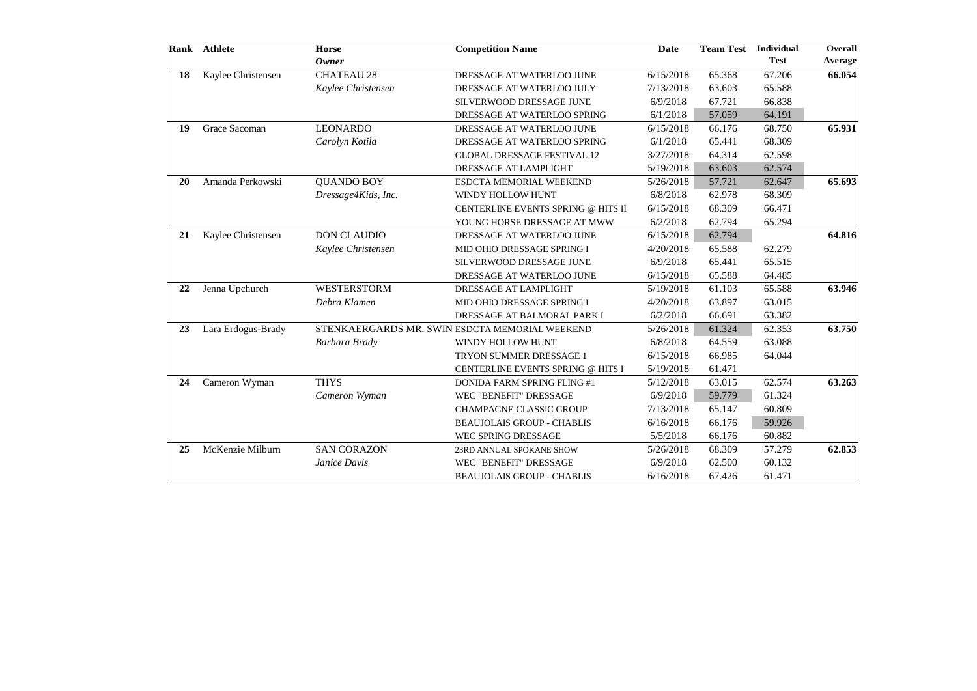|           | Rank Athlete       | <b>Horse</b><br><b>Owner</b> | <b>Competition Name</b>                        | <b>Date</b> | <b>Team Test</b> | <b>Individual</b><br><b>Test</b> | Overall<br>Average |
|-----------|--------------------|------------------------------|------------------------------------------------|-------------|------------------|----------------------------------|--------------------|
| 18        | Kaylee Christensen | <b>CHATEAU 28</b>            | DRESSAGE AT WATERLOO JUNE                      | 6/15/2018   | 65.368           | 67.206                           | 66.054             |
|           |                    | Kaylee Christensen           | DRESSAGE AT WATERLOO JULY                      | 7/13/2018   | 63.603           | 65.588                           |                    |
|           |                    |                              | SILVERWOOD DRESSAGE JUNE                       | 6/9/2018    | 67.721           | 66.838                           |                    |
|           |                    |                              | DRESSAGE AT WATERLOO SPRING                    | 6/1/2018    | 57.059           | 64.191                           |                    |
| 19        | Grace Sacoman      | <b>LEONARDO</b>              | DRESSAGE AT WATERLOO JUNE                      | 6/15/2018   | 66.176           | 68.750                           | 65.931             |
|           |                    | Carolyn Kotila               | DRESSAGE AT WATERLOO SPRING                    | 6/1/2018    | 65.441           | 68.309                           |                    |
|           |                    |                              | <b>GLOBAL DRESSAGE FESTIVAL 12</b>             | 3/27/2018   | 64.314           | 62.598                           |                    |
|           |                    |                              | DRESSAGE AT LAMPLIGHT                          | 5/19/2018   | 63.603           | 62.574                           |                    |
| <b>20</b> | Amanda Perkowski   | <b>QUANDO BOY</b>            | ESDCTA MEMORIAL WEEKEND                        | 5/26/2018   | 57.721           | 62.647                           | 65.693             |
|           |                    | Dressage4Kids, Inc.          | WINDY HOLLOW HUNT                              | 6/8/2018    | 62.978           | 68.309                           |                    |
|           |                    |                              | CENTERLINE EVENTS SPRING @ HITS II             | 6/15/2018   | 68.309           | 66.471                           |                    |
|           |                    |                              | YOUNG HORSE DRESSAGE AT MWW                    | 6/2/2018    | 62.794           | 65.294                           |                    |
| 21        | Kaylee Christensen | <b>DON CLAUDIO</b>           | DRESSAGE AT WATERLOO JUNE                      | 6/15/2018   | 62.794           |                                  | 64.816             |
|           |                    | Kaylee Christensen           | MID OHIO DRESSAGE SPRING I                     | 4/20/2018   | 65.588           | 62.279                           |                    |
|           |                    |                              | SILVERWOOD DRESSAGE JUNE                       | 6/9/2018    | 65.441           | 65.515                           |                    |
|           |                    |                              | DRESSAGE AT WATERLOO JUNE                      | 6/15/2018   | 65.588           | 64.485                           |                    |
| 22        | Jenna Upchurch     | <b>WESTERSTORM</b>           | DRESSAGE AT LAMPLIGHT                          | 5/19/2018   | 61.103           | 65.588                           | 63.946             |
|           |                    | Debra Klamen                 | MID OHIO DRESSAGE SPRING I                     | 4/20/2018   | 63.897           | 63.015                           |                    |
|           |                    |                              | DRESSAGE AT BALMORAL PARK I                    | 6/2/2018    | 66.691           | 63.382                           |                    |
| 23        | Lara Erdogus-Brady |                              | STENKAERGARDS MR. SWIN ESDCTA MEMORIAL WEEKEND | 5/26/2018   | 61.324           | 62.353                           | 63.750             |
|           |                    | Barbara Brady                | WINDY HOLLOW HUNT                              | 6/8/2018    | 64.559           | 63.088                           |                    |
|           |                    |                              | TRYON SUMMER DRESSAGE 1                        | 6/15/2018   | 66.985           | 64.044                           |                    |
|           |                    |                              | CENTERLINE EVENTS SPRING @ HITS I              | 5/19/2018   | 61.471           |                                  |                    |
| 24        | Cameron Wyman      | <b>THYS</b>                  | DONIDA FARM SPRING FLING #1                    | 5/12/2018   | 63.015           | 62.574                           | 63.263             |
|           |                    | Cameron Wyman                | WEC "BENEFIT" DRESSAGE                         | 6/9/2018    | 59.779           | 61.324                           |                    |
|           |                    |                              | <b>CHAMPAGNE CLASSIC GROUP</b>                 | 7/13/2018   | 65.147           | 60.809                           |                    |
|           |                    |                              | <b>BEAUJOLAIS GROUP - CHABLIS</b>              | 6/16/2018   | 66.176           | 59.926                           |                    |
|           |                    |                              | WEC SPRING DRESSAGE                            | 5/5/2018    | 66.176           | 60.882                           |                    |
| 25        | McKenzie Milburn   | <b>SAN CORAZON</b>           | 23RD ANNUAL SPOKANE SHOW                       | 5/26/2018   | 68.309           | 57.279                           | 62.853             |
|           |                    | Janice Davis                 | WEC "BENEFIT" DRESSAGE                         | 6/9/2018    | 62.500           | 60.132                           |                    |
|           |                    |                              | <b>BEAUJOLAIS GROUP - CHABLIS</b>              | 6/16/2018   | 67.426           | 61.471                           |                    |